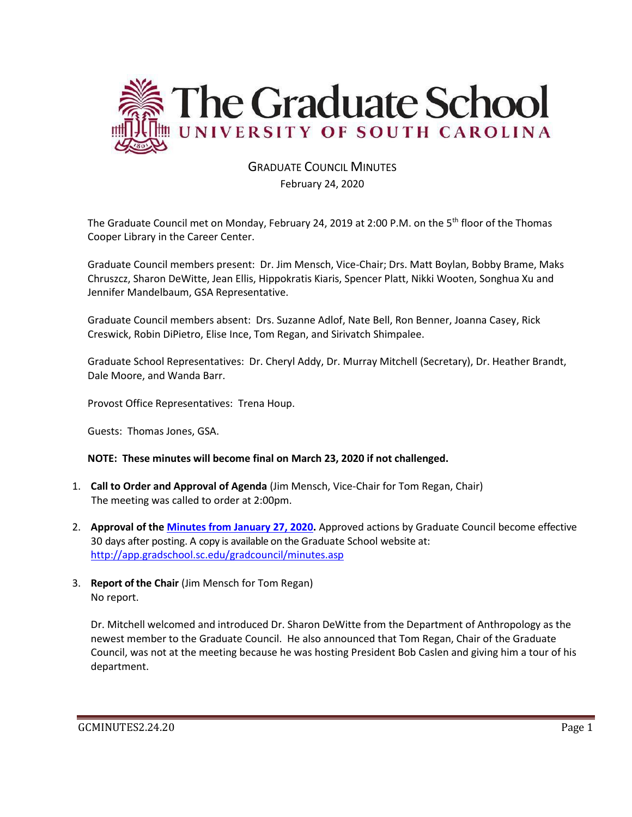

#### GRADUATE COUNCIL MINUTES February 24, 2020

The Graduate Council met on Monday, February 24, 2019 at 2:00 P.M. on the 5<sup>th</sup> floor of the Thomas Cooper Library in the Career Center.

Graduate Council members present: Dr. Jim Mensch, Vice-Chair; Drs. Matt Boylan, Bobby Brame, Maks Chruszcz, Sharon DeWitte, Jean Ellis, Hippokratis Kiaris, Spencer Platt, Nikki Wooten, Songhua Xu and Jennifer Mandelbaum, GSA Representative.

Graduate Council members absent: Drs. Suzanne Adlof, Nate Bell, Ron Benner, Joanna Casey, Rick Creswick, Robin DiPietro, Elise Ince, Tom Regan, and Sirivatch Shimpalee.

Graduate School Representatives: Dr. Cheryl Addy, Dr. Murray Mitchell (Secretary), Dr. Heather Brandt, Dale Moore, and Wanda Barr.

Provost Office Representatives: Trena Houp.

Guests: Thomas Jones, GSA.

#### **NOTE: These minutes will become final on March 23, 2020 if not challenged.**

- 1. **Call to Order and Approval of Agenda** (Jim Mensch, Vice-Chair for Tom Regan, Chair) The meeting was called to order at 2:00pm.
- 2. **Approval of the [Minutes from January 27, 2020.](file:///C:/Users/wandab/Local%20Documents/Graduate%20Council/GCMINSJAN272020.pdf)** Approved actions by Graduate Council become effective 30 days after posting. A copy is available on the Graduate School website at: <http://app.gradschool.sc.edu/gradcouncil/minutes.asp>
- 3. **Report of the Chair** (Jim Mensch for Tom Regan) No report.

Dr. Mitchell welcomed and introduced Dr. Sharon DeWitte from the Department of Anthropology as the newest member to the Graduate Council. He also announced that Tom Regan, Chair of the Graduate Council, was not at the meeting because he was hosting President Bob Caslen and giving him a tour of his department.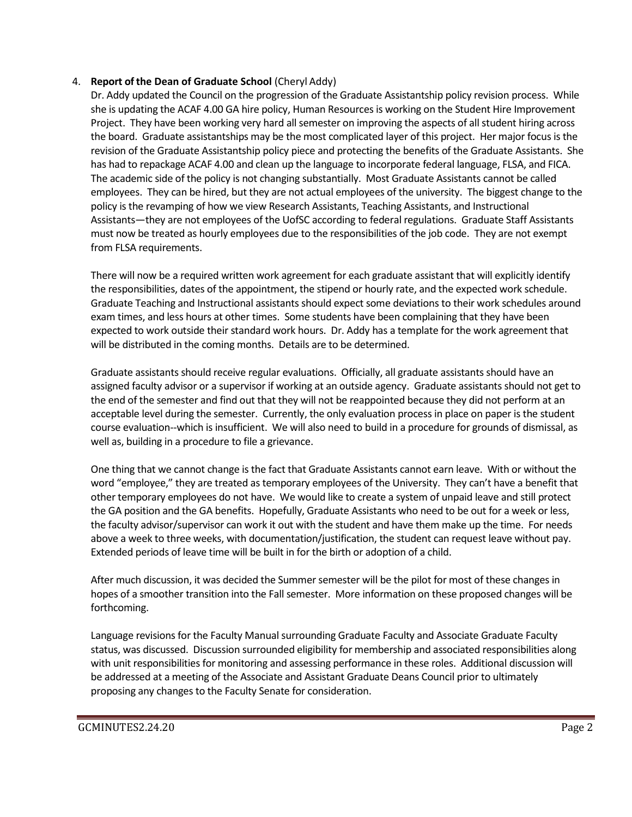#### 4. **Report of the Dean of Graduate School** (Cheryl Addy)

Dr. Addy updated the Council on the progression of the Graduate Assistantship policy revision process. While she is updating the ACAF 4.00 GA hire policy, Human Resources is working on the Student Hire Improvement Project. They have been working very hard all semester on improving the aspects of all student hiring across the board. Graduate assistantships may be the most complicated layer of this project. Her major focus is the revision of the Graduate Assistantship policy piece and protecting the benefits of the Graduate Assistants. She has had to repackage ACAF 4.00 and clean up the language to incorporate federal language, FLSA, and FICA. The academic side of the policy is not changing substantially. Most Graduate Assistants cannot be called employees. They can be hired, but they are not actual employees of the university. The biggest change to the policy is the revamping of how we view Research Assistants, Teaching Assistants, and Instructional Assistants—they are not employees of the UofSC according to federal regulations. Graduate Staff Assistants must now be treated as hourly employees due to the responsibilities of the job code. They are not exempt from FLSA requirements.

There will now be a required written work agreement for each graduate assistant that will explicitly identify the responsibilities, dates of the appointment, the stipend or hourly rate, and the expected work schedule. Graduate Teaching and Instructional assistants should expect some deviations to their work schedules around exam times, and less hours at other times. Some students have been complaining that they have been expected to work outside their standard work hours. Dr. Addy has a template for the work agreement that will be distributed in the coming months. Details are to be determined.

Graduate assistants should receive regular evaluations. Officially, all graduate assistants should have an assigned faculty advisor or a supervisor if working at an outside agency. Graduate assistants should not get to the end of the semester and find out that they will not be reappointed because they did not perform at an acceptable level during the semester. Currently, the only evaluation process in place on paper is the student course evaluation--which is insufficient. We will also need to build in a procedure for grounds of dismissal, as well as, building in a procedure to file a grievance.

One thing that we cannot change is the fact that Graduate Assistants cannot earn leave. With or without the word "employee," they are treated as temporary employees of the University. They can't have a benefit that other temporary employees do not have. We would like to create a system of unpaid leave and still protect the GA position and the GA benefits. Hopefully, Graduate Assistants who need to be out for a week or less, the faculty advisor/supervisor can work it out with the student and have them make up the time. For needs above a week to three weeks, with documentation/justification, the student can request leave without pay. Extended periods of leave time will be built in for the birth or adoption of a child.

After much discussion, it was decided the Summer semester will be the pilot for most of these changes in hopes of a smoother transition into the Fall semester. More information on these proposed changes will be forthcoming.

Language revisions for the Faculty Manual surrounding Graduate Faculty and Associate Graduate Faculty status, was discussed. Discussion surrounded eligibility for membership and associated responsibilities along with unit responsibilities for monitoring and assessing performance in these roles. Additional discussion will be addressed at a meeting of the Associate and Assistant Graduate Deans Council prior to ultimately proposing any changes to the Faculty Senate for consideration.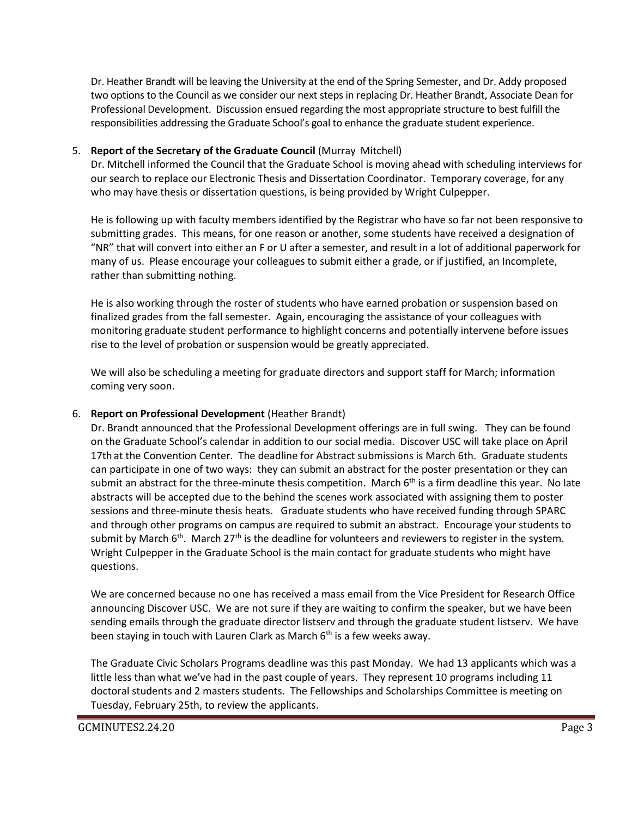Dr. Heather Brandt will be leaving the University at the end of the Spring Semester, and Dr. Addy proposed two options to the Council as we consider our next steps in replacing Dr. Heather Brandt, Associate Dean for Professional Development. Discussion ensued regarding the most appropriate structure to best fulfill the responsibilities addressing the Graduate School's goal to enhance the graduate student experience.

#### 5. **Report of the Secretary of the Graduate Council** (Murray Mitchell)

Dr. Mitchell informed the Council that the Graduate School is moving ahead with scheduling interviews for our search to replace our Electronic Thesis and Dissertation Coordinator. Temporary coverage, for any who may have thesis or dissertation questions, is being provided by Wright Culpepper.

He is following up with faculty members identified by the Registrar who have so far not been responsive to submitting grades. This means, for one reason or another, some students have received a designation of "NR" that will convert into either an F or U after a semester, and result in a lot of additional paperwork for many of us. Please encourage your colleagues to submit either a grade, or if justified, an Incomplete, rather than submitting nothing.

He is also working through the roster of students who have earned probation or suspension based on finalized grades from the fall semester. Again, encouraging the assistance of your colleagues with monitoring graduate student performance to highlight concerns and potentially intervene before issues rise to the level of probation or suspension would be greatly appreciated.

We will also be scheduling a meeting for graduate directors and support staff for March; information coming very soon.

#### 6. **Report on Professional Development** (Heather Brandt)

Dr. Brandt announced that the Professional Development offerings are in full swing. They can be found on the Graduate School's calendar in addition to our social media. Discover USC will take place on April 17th at the Convention Center. The deadline for Abstract submissions is March 6th. Graduate students can participate in one of two ways: they can submit an abstract for the poster presentation or they can submit an abstract for the three-minute thesis competition. March  $6<sup>th</sup>$  is a firm deadline this year. No late abstracts will be accepted due to the behind the scenes work associated with assigning them to poster sessions and three-minute thesis heats. Graduate students who have received funding through SPARC and through other programs on campus are required to submit an abstract. Encourage your students to submit by March  $6<sup>th</sup>$ . March  $27<sup>th</sup>$  is the deadline for volunteers and reviewers to register in the system. Wright Culpepper in the Graduate School is the main contact for graduate students who might have questions.

We are concerned because no one has received a mass email from the Vice President for Research Office announcing Discover USC. We are not sure if they are waiting to confirm the speaker, but we have been sending emails through the graduate director listserv and through the graduate student listserv. We have been staying in touch with Lauren Clark as March  $6<sup>th</sup>$  is a few weeks away.

The Graduate Civic Scholars Programs deadline was this past Monday. We had 13 applicants which was a little less than what we've had in the past couple of years. They represent 10 programs including 11 doctoral students and 2 masters students. The Fellowships and Scholarships Committee is meeting on Tuesday, February 25th, to review the applicants.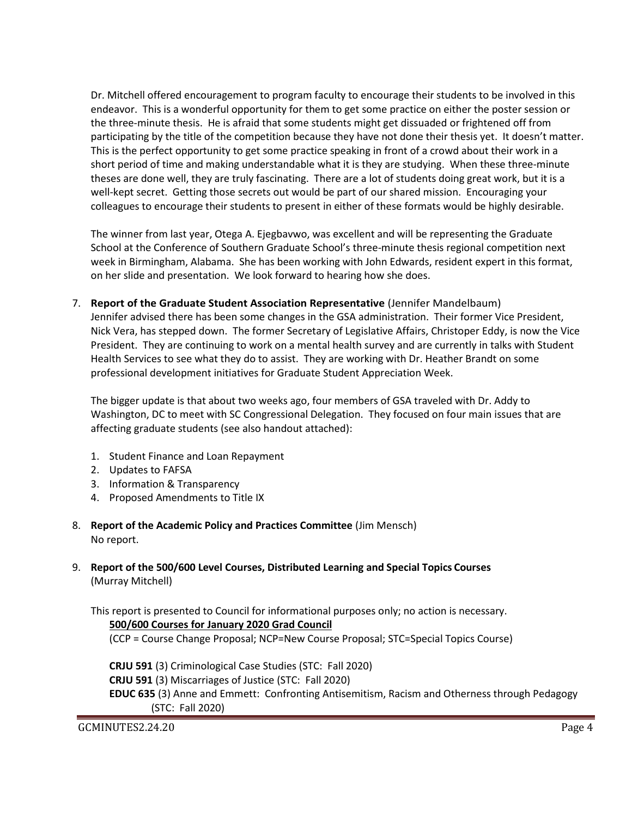Dr. Mitchell offered encouragement to program faculty to encourage their students to be involved in this endeavor. This is a wonderful opportunity for them to get some practice on either the poster session or the three-minute thesis. He is afraid that some students might get dissuaded or frightened off from participating by the title of the competition because they have not done their thesis yet. It doesn't matter. This is the perfect opportunity to get some practice speaking in front of a crowd about their work in a short period of time and making understandable what it is they are studying. When these three-minute theses are done well, they are truly fascinating. There are a lot of students doing great work, but it is a well-kept secret. Getting those secrets out would be part of our shared mission. Encouraging your colleagues to encourage their students to present in either of these formats would be highly desirable.

The winner from last year, Otega A. Ejegbavwo, was excellent and will be representing the Graduate School at the Conference of Southern Graduate School's three-minute thesis regional competition next week in Birmingham, Alabama. She has been working with John Edwards, resident expert in this format, on her slide and presentation. We look forward to hearing how she does.

7. **Report of the Graduate Student Association Representative** (Jennifer Mandelbaum) Jennifer advised there has been some changes in the GSA administration. Their former Vice President, Nick Vera, has stepped down. The former Secretary of Legislative Affairs, Christoper Eddy, is now the Vice President. They are continuing to work on a mental health survey and are currently in talks with Student Health Services to see what they do to assist. They are working with Dr. Heather Brandt on some professional development initiatives for Graduate Student Appreciation Week.

The bigger update is that about two weeks ago, four members of GSA traveled with Dr. Addy to Washington, DC to meet with SC Congressional Delegation. They focused on four main issues that are affecting graduate students (see also handout attached):

- 1. Student Finance and Loan Repayment
- 2. Updates to FAFSA
- 3. Information & Transparency
- 4. Proposed Amendments to Title IX
- 8. **Report of the Academic Policy and Practices Committee** (Jim Mensch) No report.
- 9. **Report of the 500/600 Level Courses, Distributed Learning and Special Topics Courses** (Murray Mitchell)

This report is presented to Council for informational purposes only; no action is necessary. **500/600 Courses for January 2020 Grad Council**

(CCP = Course Change Proposal; NCP=New Course Proposal; STC=Special Topics Course)

**CRJU 591** (3) Criminological Case Studies (STC: Fall 2020) **CRJU 591** (3) Miscarriages of Justice (STC: Fall 2020) **EDUC 635** (3) Anne and Emmett: Confronting Antisemitism, Racism and Otherness through Pedagogy (STC: Fall 2020)

GCMINUTES2.24.20 Page 4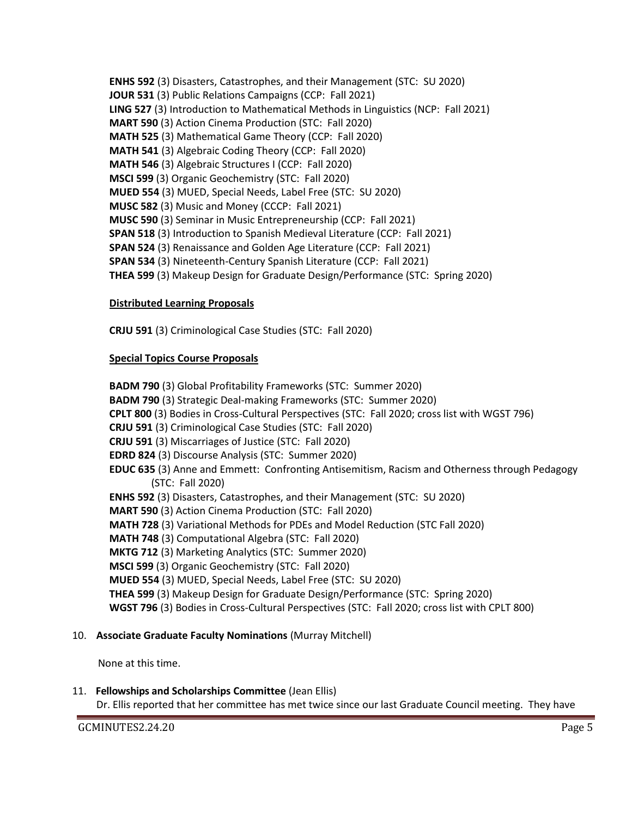**ENHS 592** (3) Disasters, Catastrophes, and their Management (STC: SU 2020) **JOUR 531** (3) Public Relations Campaigns (CCP: Fall 2021) **LING 527** (3) Introduction to Mathematical Methods in Linguistics (NCP: Fall 2021) **MART 590** (3) Action Cinema Production (STC: Fall 2020) **MATH 525** (3) Mathematical Game Theory (CCP: Fall 2020) **MATH 541** (3) Algebraic Coding Theory (CCP: Fall 2020) **MATH 546** (3) Algebraic Structures I (CCP: Fall 2020) **MSCI 599** (3) Organic Geochemistry (STC: Fall 2020) **MUED 554** (3) MUED, Special Needs, Label Free (STC: SU 2020) **MUSC 582** (3) Music and Money (CCCP: Fall 2021) **MUSC 590** (3) Seminar in Music Entrepreneurship (CCP: Fall 2021) **SPAN 518** (3) Introduction to Spanish Medieval Literature (CCP: Fall 2021) **SPAN 524** (3) Renaissance and Golden Age Literature (CCP: Fall 2021) **SPAN 534** (3) Nineteenth-Century Spanish Literature (CCP: Fall 2021) **THEA 599** (3) Makeup Design for Graduate Design/Performance (STC: Spring 2020)

#### **Distributed Learning Proposals**

**CRJU 591** (3) Criminological Case Studies (STC: Fall 2020)

#### **Special Topics Course Proposals**

**BADM 790** (3) Global Profitability Frameworks (STC: Summer 2020) **BADM 790** (3) Strategic Deal-making Frameworks (STC: Summer 2020) **CPLT 800** (3) Bodies in Cross-Cultural Perspectives (STC: Fall 2020; cross list with WGST 796) **CRJU 591** (3) Criminological Case Studies (STC: Fall 2020) **CRJU 591** (3) Miscarriages of Justice (STC: Fall 2020) **EDRD 824** (3) Discourse Analysis (STC: Summer 2020) **EDUC 635** (3) Anne and Emmett: Confronting Antisemitism, Racism and Otherness through Pedagogy (STC: Fall 2020) **ENHS 592** (3) Disasters, Catastrophes, and their Management (STC: SU 2020) **MART 590** (3) Action Cinema Production (STC: Fall 2020) **MATH 728** (3) Variational Methods for PDEs and Model Reduction (STC Fall 2020) **MATH 748** (3) Computational Algebra (STC: Fall 2020) **MKTG 712** (3) Marketing Analytics (STC: Summer 2020) **MSCI 599** (3) Organic Geochemistry (STC: Fall 2020) **MUED 554** (3) MUED, Special Needs, Label Free (STC: SU 2020) **THEA 599** (3) Makeup Design for Graduate Design/Performance (STC: Spring 2020) **WGST 796** (3) Bodies in Cross-Cultural Perspectives (STC: Fall 2020; cross list with CPLT 800)

#### 10. **Associate Graduate Faculty Nominations** (Murray Mitchell)

None at this time.

#### 11. **Fellowships and Scholarships Committee** (Jean Ellis)

Dr. Ellis reported that her committee has met twice since our last Graduate Council meeting. They have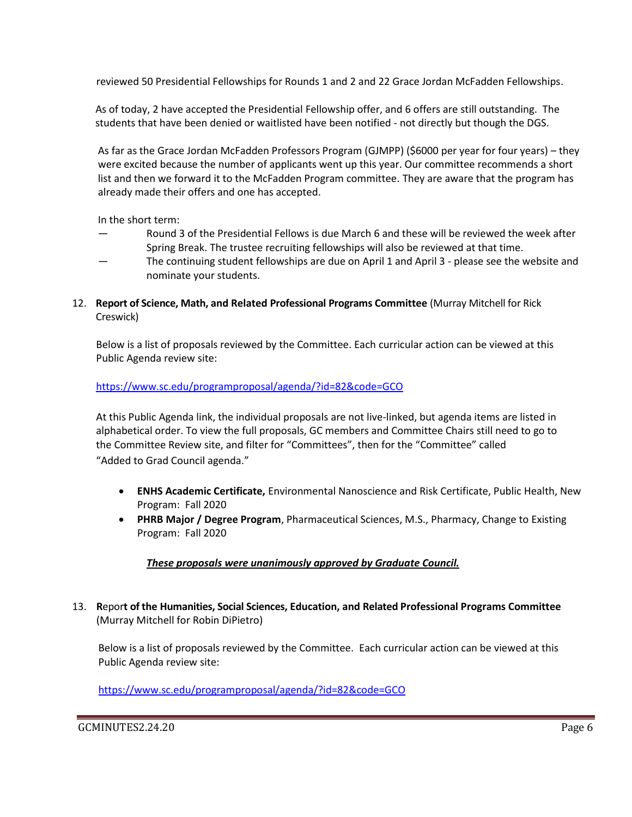reviewed 50 Presidential Fellowships for Rounds 1 and 2 and 22 Grace Jordan McFadden Fellowships.

 As of today, 2 have accepted the Presidential Fellowship offer, and 6 offers are still outstanding. The students that have been denied or waitlisted have been notified - not directly but though the DGS.

As far as the Grace Jordan McFadden Professors Program (GJMPP) (\$6000 per year for four years) – they were excited because the number of applicants went up this year. Our committee recommends a short list and then we forward it to the McFadden Program committee. They are aware that the program has already made their offers and one has accepted.

In the short term:

- Round 3 of the Presidential Fellows is due March 6 and these will be reviewed the week after Spring Break. The trustee recruiting fellowships will also be reviewed at that time.
- The continuing student fellowships are due on April 1 and April 3 please see the website and nominate your students.
- 12. **Report of Science, Math, and Related Professional Programs Committee** (Murray Mitchell for Rick Creswick)

Below is a list of proposals reviewed by the Committee. Each curricular action can be viewed at this Public Agenda review site:

#### <https://www.sc.edu/programproposal/agenda/?id=82&code=GCO>

At this Public Agenda link, the individual proposals are not live-linked, but agenda items are listed in alphabetical order. To view the full proposals, GC members and Committee Chairs still need to go to the Committee Review site, and filter for "Committees", then for the "Committee" called "Added to Grad Council agenda."

- **ENHS Academic Certificate,** Environmental Nanoscience and Risk Certificate, Public Health, New Program: Fall 2020
- **PHRB Major / Degree Program**, Pharmaceutical Sciences, M.S., Pharmacy, Change to Existing Program: Fall 2020

#### *These proposals were unanimously approved by Graduate Council.*

13. **R**epor**t of the Humanities, Social Sciences, Education, and Related Professional Programs Committee**  (Murray Mitchell for Robin DiPietro)

Below is a list of proposals reviewed by the Committee. Each curricular action can be viewed at this Public Agenda review site:

<https://www.sc.edu/programproposal/agenda/?id=82&code=GCO>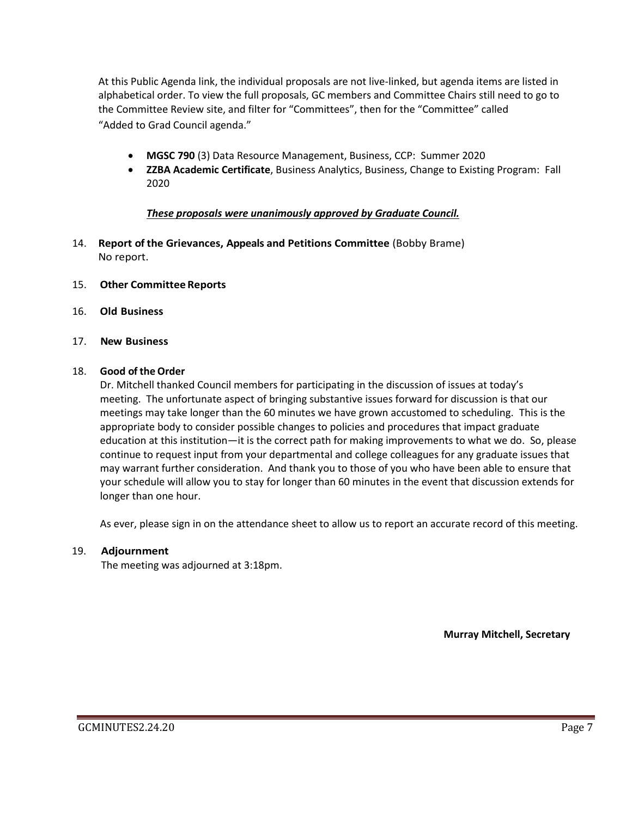At this Public Agenda link, the individual proposals are not live-linked, but agenda items are listed in alphabetical order. To view the full proposals, GC members and Committee Chairs still need to go to the Committee Review site, and filter for "Committees", then for the "Committee" called "Added to Grad Council agenda."

- **MGSC 790** (3) Data Resource Management, Business, CCP: Summer 2020
- **ZZBA Academic Certificate**, Business Analytics, Business, Change to Existing Program: Fall 2020

#### *These proposals were unanimously approved by Graduate Council.*

- 14. **Report of the Grievances, Appeals and Petitions Committee** (Bobby Brame) No report.
- 15. **Other Committee Reports**
- 16. **Old Business**
- 17. **New Business**

#### 18. **Good of the Order**

Dr. Mitchell thanked Council members for participating in the discussion of issues at today's meeting. The unfortunate aspect of bringing substantive issues forward for discussion is that our meetings may take longer than the 60 minutes we have grown accustomed to scheduling. This is the appropriate body to consider possible changes to policies and procedures that impact graduate education at this institution—it is the correct path for making improvements to what we do. So, please continue to request input from your departmental and college colleagues for any graduate issues that may warrant further consideration. And thank you to those of you who have been able to ensure that your schedule will allow you to stay for longer than 60 minutes in the event that discussion extends for longer than one hour.

As ever, please sign in on the attendance sheet to allow us to report an accurate record of this meeting.

#### 19. **Adjournment**

The meeting was adjourned at 3:18pm.

**Murray Mitchell, Secretary**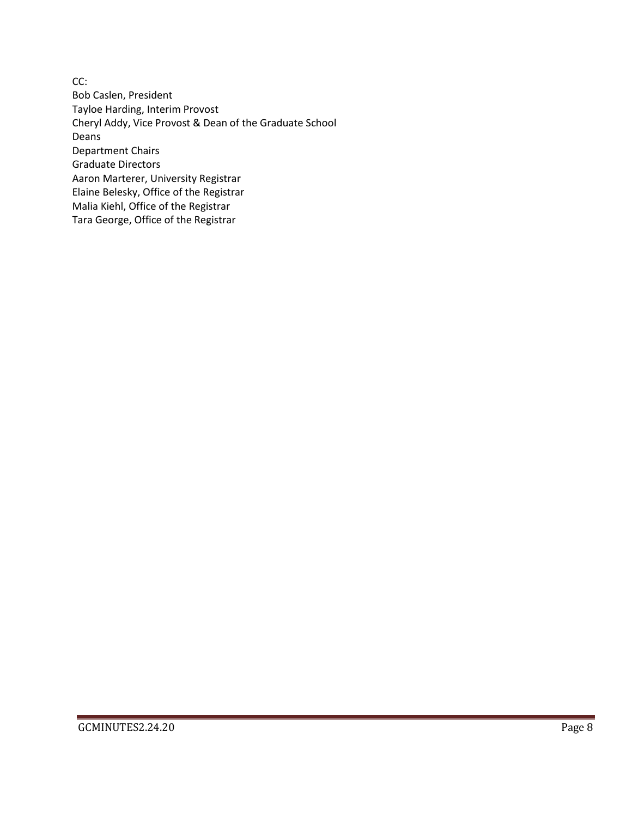CC: Bob Caslen, President Tayloe Harding, Interim Provost Cheryl Addy, Vice Provost & Dean of the Graduate School Deans Department Chairs Graduate Directors Aaron Marterer, University Registrar Elaine Belesky, Office of the Registrar Malia Kiehl, Office of the Registrar Tara George, Office of the Registrar